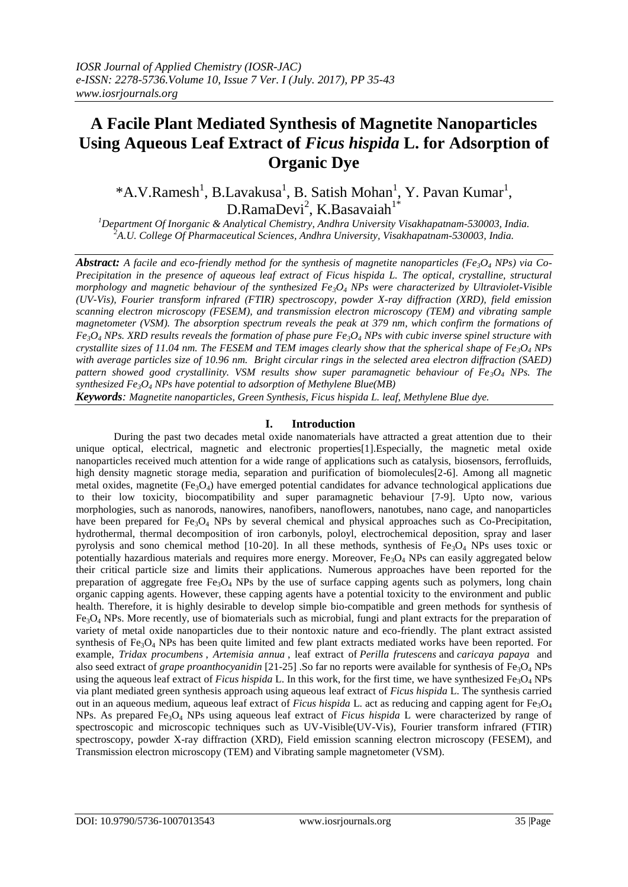# **A Facile Plant Mediated Synthesis of Magnetite Nanoparticles Using Aqueous Leaf Extract of** *Ficus hispida* **L. for Adsorption of Organic Dye**

\*A.V.Ramesh<sup>1</sup>, B.Lavakusa<sup>1</sup>, B. Satish Mohan<sup>1</sup>, Y. Pavan Kumar<sup>1</sup>,  $D.RamaDevi<sup>2</sup>, K.Basavaiah<sup>1*</sup>$ 

*<sup>1</sup>Department Of Inorganic & Analytical Chemistry, Andhra University Visakhapatnam-530003, India. <sup>2</sup>A.U. College Of Pharmaceutical Sciences, Andhra University, Visakhapatnam-530003, India.*

*Abstract: A facile and eco-friendly method for the synthesis of magnetite nanoparticles (Fe3O<sup>4</sup> NPs) via Co-Precipitation in the presence of aqueous leaf extract of Ficus hispida L. The optical, crystalline, structural morphology and magnetic behaviour of the synthesized Fe3O<sup>4</sup> NPs were characterized by Ultraviolet-Visible (UV-Vis), Fourier transform infrared (FTIR) spectroscopy, powder X-ray diffraction (XRD), field emission scanning electron microscopy (FESEM), and transmission electron microscopy (TEM) and vibrating sample magnetometer (VSM). The absorption spectrum reveals the peak at 379 nm, which confirm the formations of*   $Fe<sub>3</sub>O<sub>4</sub>$  *NPs. XRD results reveals the formation of phase pure*  $Fe<sub>3</sub>O<sub>4</sub>$  *<i>NPs with cubic inverse spinel structure with crystallite sizes of 11.04 nm. The FESEM and TEM images clearly show that the spherical shape of Fe3O<sup>4</sup> NPs with average particles size of 10.96 nm. Bright circular rings in the selected area electron diffraction (SAED) pattern showed good crystallinity. VSM results show super paramagnetic behaviour of Fe3O<sup>4</sup> NPs. The synthesized Fe3O<sup>4</sup> NPs have potential to adsorption of Methylene Blue(MB)*

*Keywords: Magnetite nanoparticles, Green Synthesis, Ficus hispida L. leaf, Methylene Blue dye.*

# **I. Introduction**

During the past two decades metal oxide nanomaterials have attracted a great attention due to their unique optical, electrical, magnetic and electronic properties[1].Especially, the magnetic metal oxide nanoparticles received much attention for a wide range of applications such as catalysis, biosensors, ferrofluids, high density magnetic storage media, separation and purification of biomolecules<sup>[2-6]</sup>. Among all magnetic metal oxides, magnetite  $(F_{3}O_{4})$  have emerged potential candidates for advance technological applications due to their low toxicity, biocompatibility and super paramagnetic behaviour [7-9]. Upto now, various morphologies, such as nanorods, nanowires, nanofibers, nanoflowers, nanotubes, nano cage, and nanoparticles have been prepared for  $Fe<sub>3</sub>O<sub>4</sub>$  NPs by several chemical and physical approaches such as Co-Precipitation, hydrothermal, thermal decomposition of iron carbonyls, poloyl, electrochemical deposition, spray and laser pyrolysis and sono chemical method [10-20]. In all these methods, synthesis of  $Fe<sub>3</sub>O<sub>4</sub>$  NPs uses toxic or potentially hazardious materials and requires more energy. Moreover, Fe<sub>3</sub>O<sub>4</sub> NPs can easily aggregated below their critical particle size and limits their applications. Numerous approaches have been reported for the preparation of aggregate free  $Fe<sub>3</sub>O<sub>4</sub>$  NPs by the use of surface capping agents such as polymers, long chain organic capping agents. However, these capping agents have a potential toxicity to the environment and public health. Therefore, it is highly desirable to develop simple bio-compatible and green methods for synthesis of  $Fe<sub>3</sub>O<sub>4</sub>$  NPs. More recently, use of biomaterials such as microbial, fungi and plant extracts for the preparation of variety of metal oxide nanoparticles due to their nontoxic nature and eco-friendly. The plant extract assisted synthesis of  $Fe<sub>3</sub>O<sub>4</sub>$  NPs has been quite limited and few plant extracts mediated works have been reported. For example, *Tridax procumbens* , *Artemisia annua* , leaf extract of *Perilla frutescens* and *caricaya papaya* and also seed extract of *grape proanthocyanidin* [21-25] .So far no reports were available for synthesis of Fe<sub>3</sub>O<sub>4</sub> NPs using the aqueous leaf extract of *Ficus hispida* L. In this work, for the first time, we have synthesized Fe<sub>3</sub>O<sub>4</sub> NPs via plant mediated green synthesis approach using aqueous leaf extract of *Ficus hispida* L. The synthesis carried out in an aqueous medium, aqueous leaf extract of *Ficus hispida* L. act as reducing and capping agent for Fe3O<sup>4</sup> NPs. As prepared  $Fe<sub>3</sub>O<sub>4</sub>$  NPs using aqueous leaf extract of *Ficus hispida* L were characterized by range of spectroscopic and microscopic techniques such as UV-Visible(UV-Vis), Fourier transform infrared (FTIR) spectroscopy, powder X-ray diffraction (XRD), Field emission scanning electron microscopy (FESEM), and Transmission electron microscopy (TEM) and Vibrating sample magnetometer (VSM).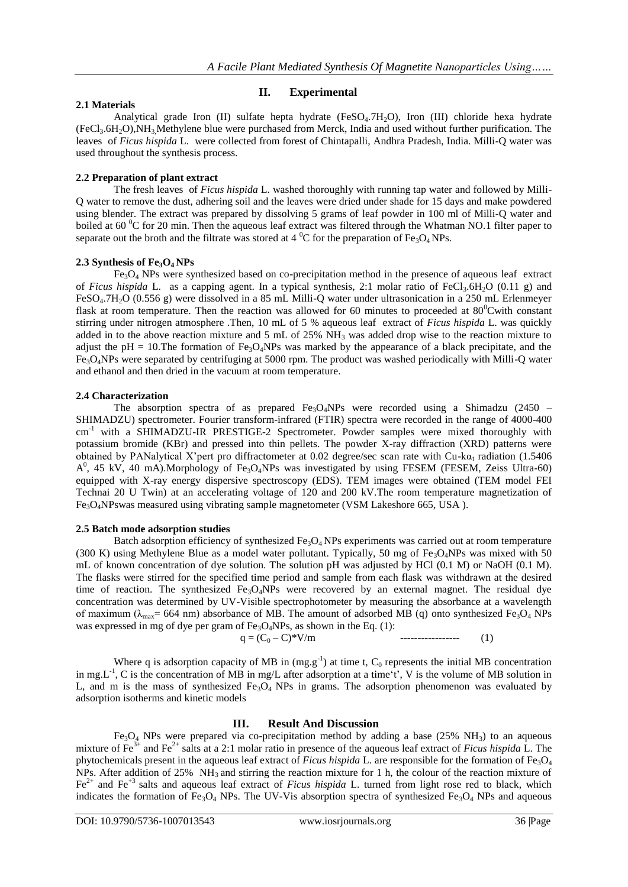# **2.1 Materials**

**II. Experimental**

Analytical grade Iron  $(II)$  sulfate hepta hydrate (FeSO<sub>4</sub>.7H<sub>2</sub>O), Iron  $(III)$  chloride hexa hydrate  $(FeCl<sub>3</sub>.6H<sub>2</sub>O)$ , NH<sub>3</sub>, Methylene blue were purchased from Merck, India and used without further purification. The leaves of *Ficus hispida* L. were collected from forest of Chintapalli, Andhra Pradesh, India. Milli-Q water was used throughout the synthesis process.

# **2.2 Preparation of plant extract**

The fresh leaves of *Ficus hispida* L. washed thoroughly with running tap water and followed by Milli-Q water to remove the dust, adhering soil and the leaves were dried under shade for 15 days and make powdered using blender. The extract was prepared by dissolving 5 grams of leaf powder in 100 ml of Milli-Q water and boiled at 60 <sup>o</sup>C for 20 min. Then the aqueous leaf extract was filtered through the Whatman NO.1 filter paper to separate out the broth and the filtrate was stored at 4  $^{\circ}$ C for the preparation of Fe<sub>3</sub>O<sub>4</sub> NPs.

# **2.3 Synthesis of Fe3O<sup>4</sup> NPs**

 $Fe<sub>3</sub>O<sub>4</sub>$  NPs were synthesized based on co-precipitation method in the presence of aqueous leaf extract of *Ficus hispida* L. as a capping agent. In a typical synthesis, 2:1 molar ratio of FeCl<sub>3</sub>.6H<sub>2</sub>O (0.11 g) and FeSO4.7H2O (0.556 g) were dissolved in a 85 mL Milli-Q water under ultrasonication in a 250 mL Erlenmeyer flask at room temperature. Then the reaction was allowed for 60 minutes to proceeded at  $80^{\circ}$ Cwith constant stirring under nitrogen atmosphere .Then, 10 mL of 5 % aqueous leaf extract of *Ficus hispida* L. was quickly added in to the above reaction mixture and 5 mL of 25% NH<sub>3</sub> was added drop wise to the reaction mixture to adjust the pH = 10. The formation of Fe<sub>3</sub>O<sub>4</sub>NPs was marked by the appearance of a black precipitate, and the Fe3O4NPs were separated by centrifuging at 5000 rpm. The product was washed periodically with Milli-Q water and ethanol and then dried in the vacuum at room temperature.

## **2.4 Characterization**

The absorption spectra of as prepared  $Fe<sub>3</sub>O<sub>4</sub>NPs$  were recorded using a Shimadzu (2450 – SHIMADZU) spectrometer. Fourier transform-infrared (FTIR) spectra were recorded in the range of 4000-400 cm<sup>-1</sup> with a SHIMADZU-IR PRESTIGE-2 Spectrometer. Powder samples were mixed thoroughly with potassium bromide (KBr) and pressed into thin pellets. The powder X-ray diffraction (XRD) patterns were obtained by PANalytical X'pert pro diffractometer at 0.02 degree/sec scan rate with Cu-k $\alpha_1$  radiation (1.5406) A<sup>0</sup>, 45 kV, 40 mA).Morphology of Fe<sub>3</sub>O<sub>4</sub>NPs was investigated by using FESEM (FESEM, Zeiss Ultra-60) equipped with X-ray energy dispersive spectroscopy (EDS). TEM images were obtained (TEM model FEI Technai 20 U Twin) at an accelerating voltage of 120 and 200 kV.The room temperature magnetization of  $Fe<sub>3</sub>O<sub>4</sub>NPsw$ as measured using vibrating sample magnetometer (VSM Lakeshore 665, USA).

## **2.5 Batch mode adsorption studies**

Batch adsorption efficiency of synthesized  $Fe<sub>3</sub>O<sub>4</sub>$  NPs experiments was carried out at room temperature (300 K) using Methylene Blue as a model water pollutant. Typically, 50 mg of Fe<sub>3</sub>O<sub>4</sub>NPs was mixed with 50 mL of known concentration of dye solution. The solution pH was adjusted by HCl (0.1 M) or NaOH (0.1 M). The flasks were stirred for the specified time period and sample from each flask was withdrawn at the desired time of reaction. The synthesized  $Fe<sub>3</sub>O<sub>4</sub>NPs$  were recovered by an external magnet. The residual dye concentration was determined by UV-Visible spectrophotometer by measuring the absorbance at a wavelength of maximum ( $\lambda_{\text{max}}$ = 664 nm) absorbance of MB. The amount of adsorbed MB (q) onto synthesized Fe<sub>3</sub>O<sub>4</sub> NPs was expressed in mg of dye per gram of  $Fe<sub>3</sub>O<sub>4</sub>NPs$ , as shown in the Eq. (1):

$$
q = (C_0 - C)^* V/m
$$
 (1)

Where q is adsorption capacity of MB in  $(mg.g^{-1})$  at time t,  $C_0$  represents the initial MB concentration in mg.L<sup>-1</sup>, C is the concentration of MB in mg/L after adsorption at a time't', V is the volume of MB solution in L, and m is the mass of synthesized Fe<sub>3</sub>O<sub>4</sub> NPs in grams. The adsorption phenomenon was evaluated by adsorption isotherms and kinetic models

# **III. Result And Discussion**

Fe<sub>3</sub>O<sub>4</sub> NPs were prepared via co-precipitation method by adding a base (25% NH<sub>3</sub>) to an aqueous mixture of Fe3+ and Fe2+ salts at a 2:1 molar ratio in presence of the aqueous leaf extract of *Ficus hispida* L. The phytochemicals present in the aqueous leaf extract of *Ficus hispida* L. are responsible for the formation of Fe<sub>3</sub>O<sub>4</sub> NPs. After addition of 25%  $NH_3$  and stirring the reaction mixture for 1 h, the colour of the reaction mixture of Fe<sup>2+</sup> and Fe<sup>+3</sup> salts and aqueous leaf extract of *Ficus hispida* L. turned from light rose red to black, which indicates the formation of Fe<sub>3</sub>O<sub>4</sub> NPs. The UV-Vis absorption spectra of synthesized Fe<sub>3</sub>O<sub>4</sub> NPs and aqueous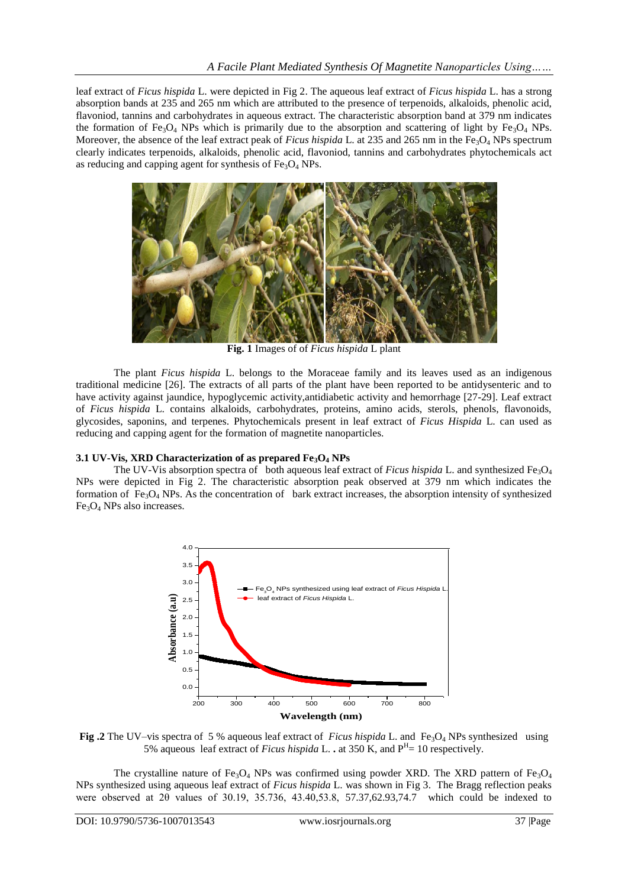leaf extract of *Ficus hispida* L. were depicted in Fig 2. The aqueous leaf extract of *Ficus hispida* L. has a strong absorption bands at 235 and 265 nm which are attributed to the presence of terpenoids, alkaloids, phenolic acid, flavoniod, tannins and carbohydrates in aqueous extract. The characteristic absorption band at 379 nm indicates the formation of Fe<sub>3</sub>O<sub>4</sub> NPs which is primarily due to the absorption and scattering of light by Fe<sub>3</sub>O<sub>4</sub> NPs. Moreover, the absence of the leaf extract peak of *Ficus hispida* L. at 235 and 265 nm in the Fe<sub>3</sub>O<sub>4</sub> NPs spectrum clearly indicates terpenoids, alkaloids, phenolic acid, flavoniod, tannins and carbohydrates phytochemicals act as reducing and capping agent for synthesis of  $Fe<sub>3</sub>O<sub>4</sub>$  NPs.



**Fig. 1** Images of of *Ficus hispida* L plant

The plant *Ficus hispida* L. belongs to the Moraceae family and its leaves used as an indigenous traditional medicine [26]. The extracts of all parts of the plant have been reported to be antidysenteric and to have activity against jaundice, hypoglycemic activity,antidiabetic activity and hemorrhage [27-29]. Leaf extract of *Ficus hispida* L. contains alkaloids, carbohydrates, proteins, amino acids, sterols, phenols, flavonoids, glycosides, saponins, and terpenes. Phytochemicals present in leaf extract of *Ficus Hispida* L. can used as reducing and capping agent for the formation of magnetite nanoparticles.

## **3.1 UV-Vis, XRD Characterization of as prepared Fe3O<sup>4</sup> NPs**

The UV-Vis absorption spectra of both aqueous leaf extract of *Ficus hispida* L. and synthesized Fe3O<sup>4</sup> NPs were depicted in Fig 2. The characteristic absorption peak observed at 379 nm which indicates the formation of  $Fe<sub>3</sub>O<sub>4</sub>$  NPs. As the concentration of bark extract increases, the absorption intensity of synthesized  $Fe<sub>3</sub>O<sub>4</sub>$  NPs also increases.



**Fig .2** The UV–vis spectra of 5 % aqueous leaf extract of *Ficus hispida* L. and  $Fe<sub>3</sub>O<sub>4</sub>$  NPs synthesized using 5% aqueous leaf extract of *Ficus hispida* L. **.** at 350 K, and  $P<sup>H</sup> = 10$  respectively.

The crystalline nature of Fe<sub>3</sub>O<sub>4</sub> NPs was confirmed using powder XRD. The XRD pattern of Fe<sub>3</sub>O<sub>4</sub> NPs synthesized using aqueous leaf extract of *Ficus hispida* L. was shown in Fig 3. The Bragg reflection peaks were observed at 2θ values of 30.19, 35.736, 43.40,53.8, 57.37,62.93,74.7 which could be indexed to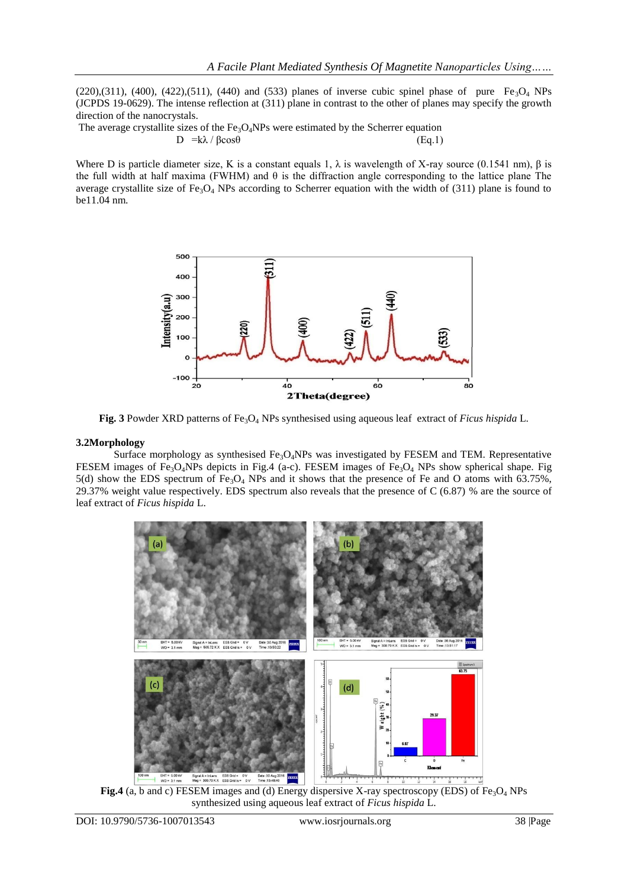$(220),(311)$ ,  $(400)$ ,  $(422),(511)$ ,  $(440)$  and  $(533)$  planes of inverse cubic spinel phase of pure Fe<sub>3</sub>O<sub>4</sub> NPs (JCPDS 19-0629). The intense reflection at (311) plane in contrast to the other of planes may specify the growth direction of the nanocrystals.

The average crystallite sizes of the  $Fe<sub>3</sub>O<sub>4</sub>NPs$  were estimated by the Scherrer equation  $D = k\lambda / \beta cos\theta$  (Eq.1)

Where D is particle diameter size, K is a constant equals 1,  $\lambda$  is wavelength of X-ray source (0.1541 nm),  $\beta$  is the full width at half maxima (FWHM) and  $\theta$  is the diffraction angle corresponding to the lattice plane The average crystallite size of  $Fe<sub>3</sub>O<sub>4</sub>$  NPs according to Scherrer equation with the width of (311) plane is found to be11.04 nm.



**Fig. 3** Powder XRD patterns of Fe3O<sup>4</sup> NPs synthesised using aqueous leaf extract of *Ficus hispida* L.

#### **3.2Morphology**

Surface morphology as synthesised  $Fe<sub>3</sub>O<sub>4</sub>NPs$  was investigated by FESEM and TEM. Representative FESEM images of Fe<sub>3</sub>O<sub>4</sub>NPs depicts in Fig.4 (a-c). FESEM images of Fe<sub>3</sub>O<sub>4</sub> NPs show spherical shape. Fig 5(d) show the EDS spectrum of Fe<sub>3</sub>O<sub>4</sub> NPs and it shows that the presence of Fe and O atoms with 63.75%, 29.37% weight value respectively. EDS spectrum also reveals that the presence of C (6.87) % are the source of leaf extract of *Ficus hispida* L.



**Fig.4** (a, b and c) FESEM images and (d) Energy dispersive X-ray spectroscopy (EDS) of Fe<sub>3</sub>O<sub>4</sub> NPs synthesized using aqueous leaf extract of *Ficus hispida* L.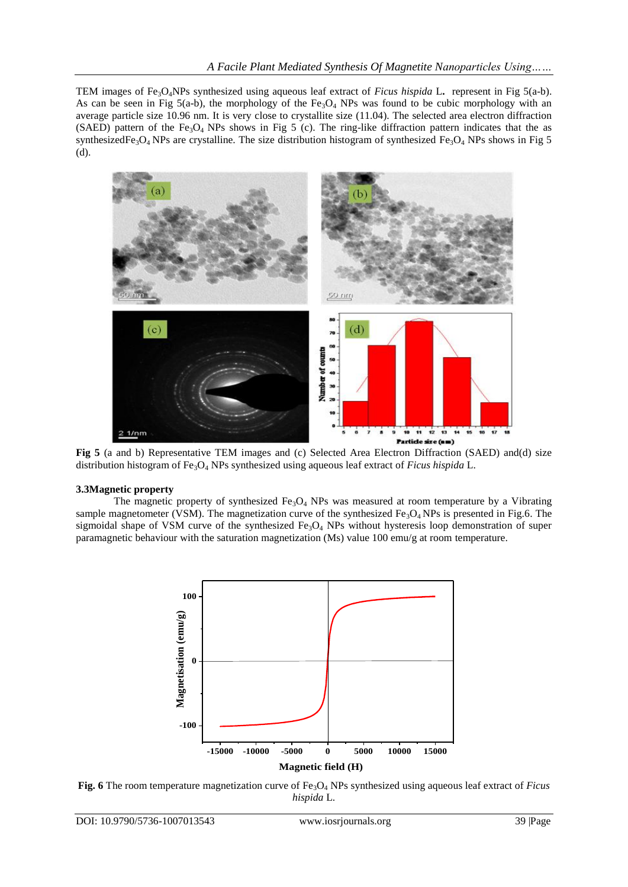TEM images of Fe3O4NPs synthesized using aqueous leaf extract of *Ficus hispida* L**.** represent in Fig 5(a-b). As can be seen in Fig 5(a-b), the morphology of the Fe<sub>3</sub>O<sub>4</sub> NPs was found to be cubic morphology with an average particle size 10.96 nm. It is very close to crystallite size (11.04). The selected area electron diffraction (SAED) pattern of the Fe<sub>3</sub>O<sub>4</sub> NPs shows in Fig 5 (c). The ring-like diffraction pattern indicates that the as synthesizedFe<sub>3</sub>O<sub>4</sub> NPs are crystalline. The size distribution histogram of synthesized Fe<sub>3</sub>O<sub>4</sub> NPs shows in Fig 5 (d).



**Fig 5** (a and b) Representative TEM images and (c) Selected Area Electron Diffraction (SAED) and(d) size distribution histogram of Fe<sub>3</sub>O<sub>4</sub> NPs synthesized using aqueous leaf extract of *Ficus hispida* L.

# **3.3Magnetic property**

The magnetic property of synthesized  $Fe<sub>3</sub>O<sub>4</sub>$  NPs was measured at room temperature by a Vibrating sample magnetometer (VSM). The magnetization curve of the synthesized  $Fe<sub>3</sub>O<sub>4</sub> NPs$  is presented in Fig.6. The sigmoidal shape of VSM curve of the synthesized  $Fe<sub>3</sub>O<sub>4</sub>$  NPs without hysteresis loop demonstration of super paramagnetic behaviour with the saturation magnetization (Ms) value 100 emu/g at room temperature.



**Fig. 6** The room temperature magnetization curve of Fe3O<sup>4</sup> NPs synthesized using aqueous leaf extract of *Ficus hispida* L.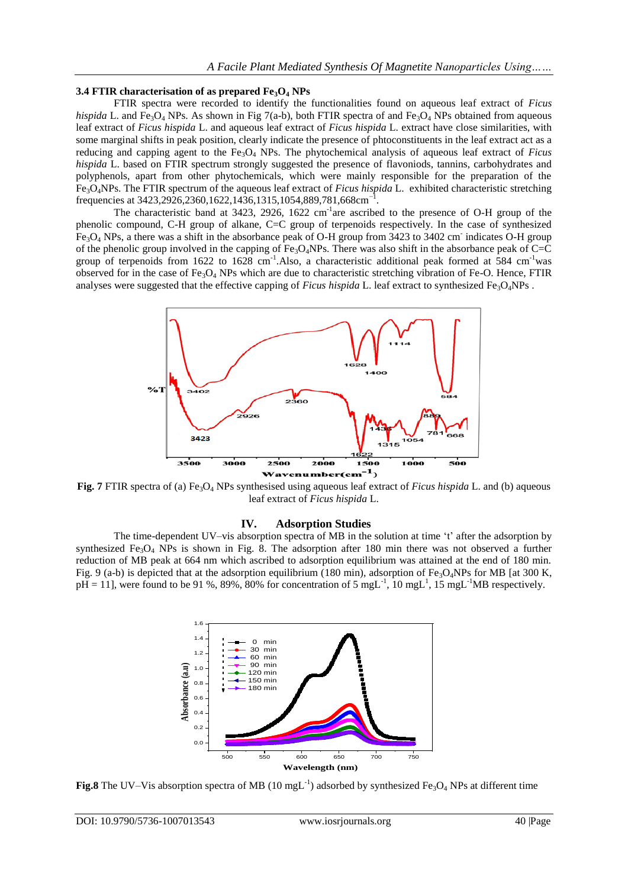### **3.4 FTIR characterisation of as prepared Fe3O<sup>4</sup> NPs**

FTIR spectra were recorded to identify the functionalities found on aqueous leaf extract of *Ficus hispida* L. and Fe<sub>3</sub>O<sub>4</sub> NPs. As shown in Fig 7(a-b), both FTIR spectra of and Fe<sub>3</sub>O<sub>4</sub> NPs obtained from aqueous leaf extract of *Ficus hispida* L. and aqueous leaf extract of *Ficus hispida* L. extract have close similarities, with some marginal shifts in peak position, clearly indicate the presence of phtoconstituents in the leaf extract act as a reducing and capping agent to the Fe3O<sup>4</sup> NPs. The phytochemical analysis of aqueous leaf extract of *Ficus hispida* L. based on FTIR spectrum strongly suggested the presence of flavoniods, tannins, carbohydrates and polyphenols, apart from other phytochemicals, which were mainly responsible for the preparation of the Fe3O4NPs. The FTIR spectrum of the aqueous leaf extract of *Ficus hispida* L. exhibited characteristic stretching frequencies at 3423,2926,2360,1622,1436,1315,1054,889,781,668cm<sup>-1</sup> .

The characteristic band at 3423, 2926,  $1622 \text{ cm}^{-1}$  are ascribed to the presence of O-H group of the phenolic compound, C-H group of alkane, C=C group of terpenoids respectively. In the case of synthesized  $Fe<sub>3</sub>O<sub>4</sub>$  NPs, a there was a shift in the absorbance peak of O-H group from 3423 to 3402 cm indicates O-H group of the phenolic group involved in the capping of  $Fe<sub>3</sub>O<sub>4</sub>NPs$ . There was also shift in the absorbance peak of C=C group of terpenoids from 1622 to 1628 cm<sup>-1</sup>. Also, a characteristic additional peak formed at 584 cm<sup>-1</sup>was observed for in the case of  $Fe_3O_4$  NPs which are due to characteristic stretching vibration of Fe-O. Hence, FTIR analyses were suggested that the effective capping of *Ficus hispida* L. leaf extract to synthesized Fe3O4NPs .



**Fig. 7** FTIR spectra of (a) Fe3O<sup>4</sup> NPs synthesised using aqueous leaf extract of *Ficus hispida* L. and (b) aqueous leaf extract of *Ficus hispida* L.

## **IV. Adsorption Studies**

The time-dependent UV–vis absorption spectra of MB in the solution at time 't' after the adsorption by synthesized Fe<sub>3</sub>O<sub>4</sub> NPs is shown in Fig. 8. The adsorption after 180 min there was not observed a further reduction of MB peak at 664 nm which ascribed to adsorption equilibrium was attained at the end of 180 min. Fig. 9 (a-b) is depicted that at the adsorption equilibrium (180 min), adsorption of Fe<sub>3</sub>O<sub>4</sub>NPs for MB [at 300 K,  $pH = 11$ , were found to be 91 %, 89%, 80% for concentration of 5 mgL<sup>-1</sup>, 10 mgL<sup>1</sup>, 15 mgL<sup>-1</sup>MB respectively.



Fig.8 The UV–Vis absorption spectra of MB (10 mgL<sup>-1</sup>) adsorbed by synthesized Fe<sub>3</sub>O<sub>4</sub> NPs at different time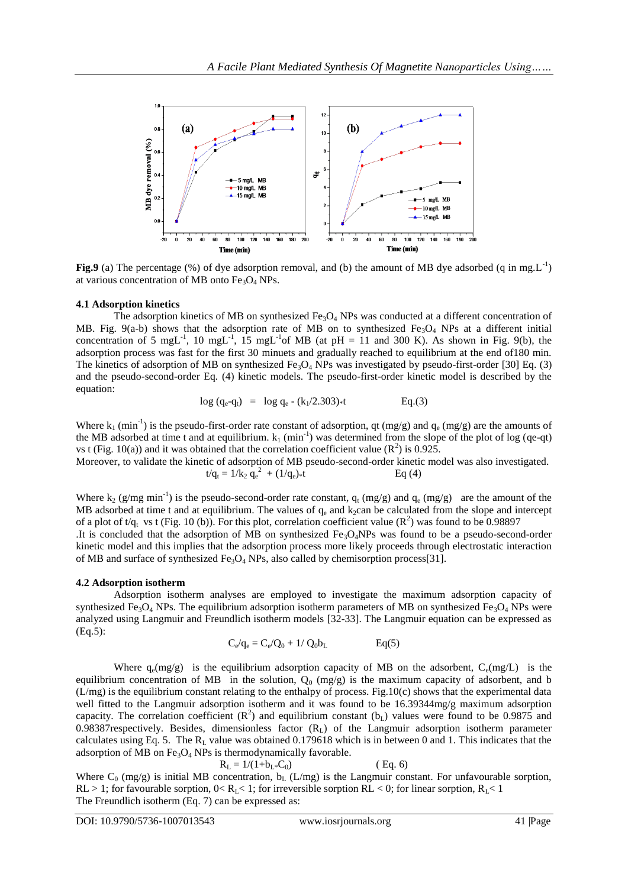

**Fig.9** (a) The percentage  $(\%)$  of dye adsorption removal, and (b) the amount of MB dye adsorbed (q in mg.L<sup>-1</sup>) at various concentration of MB onto  $Fe<sub>3</sub>O<sub>4</sub>$  NPs.

# **4.1 Adsorption kinetics**

The adsorption kinetics of MB on synthesized Fe<sub>3</sub>O<sub>4</sub> NPs was conducted at a different concentration of MB. Fig. 9(a-b) shows that the adsorption rate of MB on to synthesized Fe<sub>3</sub>O<sub>4</sub> NPs at a different initial concentration of 5 mgL<sup>-1</sup>, 10 mgL<sup>-1</sup>, 15 mgL<sup>-1</sup>of MB (at pH = 11 and 300 K). As shown in Fig. 9(b), the adsorption process was fast for the first 30 minuets and gradually reached to equilibrium at the end of180 min. The kinetics of adsorption of MB on synthesized  $Fe_3O_4$  NPs was investigated by pseudo-first-order [30] Eq. (3) and the pseudo-second-order Eq. (4) kinetic models. The pseudo-first-order kinetic model is described by the equation:

$$
\log (q_e - q_t) = \log q_e - (k_1/2.303) * t
$$
 Eq.(3)

Where  $k_1$  (min<sup>-1</sup>) is the pseudo-first-order rate constant of adsorption, qt (mg/g) and  $q_e$  (mg/g) are the amounts of the MB adsorbed at time t and at equilibrium.  $k_1$  (min<sup>-1</sup>) was determined from the slope of the plot of log (qe-qt) vs t (Fig. 10(a)) and it was obtained that the correlation coefficient value  $(R^2)$  is 0.925. Moreover, to validate the

kinetic of adsorption of MB pseudo-second-order kinetic model was also investigated.  
\n
$$
t/q_t = 1/k_2 q_e^2 + (1/q_e) * t
$$
 Eq (4)

Where  $k_2$  (g/mg min<sup>-1</sup>) is the pseudo-second-order rate constant,  $q_t$  (mg/g) and  $q_e$  (mg/g) are the amount of the MB adsorbed at time t and at equilibrium. The values of  $q_e$  and  $k_2$ can be calculated from the slope and intercept of a plot of t/q<sub>t</sub> vs t (Fig. 10 (b)). For this plot, correlation coefficient value ( $\mathbb{R}^2$ ) was found to be 0.98897 .It is concluded that the adsorption of MB on synthesized  $Fe<sub>3</sub>O<sub>4</sub>NPs$  was found to be a pseudo-second-order kinetic model and this implies that the adsorption process more likely proceeds through electrostatic interaction of MB and surface of synthesized  $Fe<sub>3</sub>O<sub>4</sub>$  NPs, also called by chemisorption process[31].

## **4.2 Adsorption isotherm**

Adsorption isotherm analyses are employed to investigate the maximum adsorption capacity of synthesized Fe<sub>3</sub>O<sub>4</sub> NPs. The equilibrium adsorption isotherm parameters of MB on synthesized Fe<sub>3</sub>O<sub>4</sub> NPs were analyzed using Langmuir and Freundlich isotherm models [32-33]. The Langmuir equation can be expressed as (Eq.5):

$$
C_e/q_e = C_e/Q_0 + 1/\ Q_0 b_L \qquad \qquad Eq(5)
$$

Where  $q_e(mg/g)$  is the equilibrium adsorption capacity of MB on the adsorbent,  $C_e(mg/L)$  is the equilibrium concentration of MB in the solution,  $Q_0$  (mg/g) is the maximum capacity of adsorbent, and b  $(L/mg)$  is the equilibrium constant relating to the enthalpy of process. Fig.10(c) shows that the experimental data well fitted to the Langmuir adsorption isotherm and it was found to be 16.39344mg/g maximum adsorption capacity. The correlation coefficient  $(R^2)$  and equilibrium constant (b<sub>L</sub>) values were found to be 0.9875 and 0.98387respectively. Besides, dimensionless factor (R<sub>L</sub>) of the Langmuir adsorption isotherm parameter calculates using Eq. 5. The  $R_L$  value was obtained 0.179618 which is in between 0 and 1. This indicates that the adsorption of MB on  $Fe<sub>3</sub>O<sub>4</sub>$  NPs is thermodynamically favorable.

$$
R_{L} = 1/(1 + b_{L} * C_{0})
$$
 (Eq. 6)

Where  $C_0$  (mg/g) is initial MB concentration,  $b_L$  (L/mg) is the Langmuir constant. For unfavourable sorption, RL > 1; for favourable sorption,  $0 < R<sub>L</sub> < 1$ ; for irreversible sorption RL < 0; for linear sorption,  $R<sub>L</sub> < 1$ The Freundlich isotherm (Eq. 7) can be expressed as: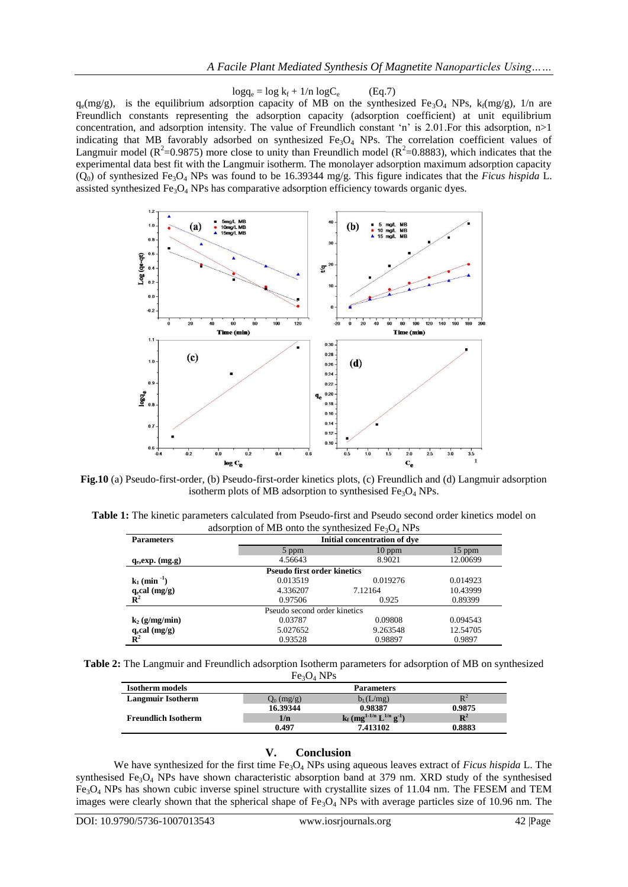$log q_e = log k_f + 1/n log C_e$ (Eq.7)

 $q_e(mg/g)$ , is the equilibrium adsorption capacity of MB on the synthesized Fe<sub>3</sub>O<sub>4</sub> NPs, k<sub>f</sub>(mg/g), 1/n are Freundlich constants representing the adsorption capacity (adsorption coefficient) at unit equilibrium concentration, and adsorption intensity. The value of Freundlich constant 'n' is 2.01.For this adsorption, n>1 indicating that MB favorably adsorbed on synthesized  $Fe<sub>3</sub>O<sub>4</sub>$  NPs. The correlation coefficient values of Langmuir model ( $R^2$ =0.9875) more close to unity than Freundlich model ( $R^2$ =0.8883), which indicates that the experimental data best fit with the Langmuir isotherm. The monolayer adsorption maximum adsorption capacity  $(Q_0)$  of synthesized Fe<sub>3</sub>O<sub>4</sub> NPs was found to be 16.39344 mg/g. This figure indicates that the *Ficus hispida* L. assisted synthesized  $Fe<sub>3</sub>O<sub>4</sub>$  NPs has comparative adsorption efficiency towards organic dyes.



**Fig.10** (a) Pseudo-first-order, (b) Pseudo-first-order kinetics plots, (c) Freundlich and (d) Langmuir adsorption isotherm plots of MB adsorption to synthesised  $Fe<sub>3</sub>O<sub>4</sub>$  NPs.

**Table 1:** The kinetic parameters calculated from Pseudo-first and Pseudo second order kinetics model on adsorption of MB onto the synthesized  $Fe<sub>3</sub>O<sub>4</sub>$  NPs

| <b>Parameters</b>                  | Initial concentration of dye |          |          |  |
|------------------------------------|------------------------------|----------|----------|--|
|                                    | 5 ppm                        | $10$ ppm | $15$ ppm |  |
| $q_e, exp.$ (mg.g)                 | 4.56643                      | 8.9021   | 12.00699 |  |
| <b>Pseudo first order kinetics</b> |                              |          |          |  |
| $k_1$ (min <sup>-1</sup> )         | 0.013519                     | 0.019276 | 0.014923 |  |
| $q_e$ cal (mg/g)                   | 4.336207                     | 7.12164  | 10.43999 |  |
| $\tilde{\mathbf{R}}^2$             | 0.97506                      | 0.925    | 0.89399  |  |
| Pseudo second order kinetics       |                              |          |          |  |
| $k_2$ (g/mg/min)                   | 0.03787                      | 0.09808  | 0.094543 |  |
| $q_e$ cal $(mg/g)$                 | 5.027652                     | 9.263548 | 12.54705 |  |
| $\mathbf{R}^2$                     | 0.93528                      | 0.98897  | 0.9897   |  |

**Table 2:** The Langmuir and Freundlich adsorption Isotherm parameters for adsorption of MB on synthesized  $Fe<sub>3</sub>O<sub>4</sub>$  NPs

| <b>Isotherm</b> models     | <b>Parameters</b> |                                                               |                |  |
|----------------------------|-------------------|---------------------------------------------------------------|----------------|--|
| <b>Langmuir Isotherm</b>   | $Q_0$ (mg/g)      | $b_L(L/mg)$                                                   |                |  |
|                            | 16.39344          | 0.98387                                                       | 0.9875         |  |
| <b>Freundlich Isotherm</b> | 1/n               | $k_f$ (mg <sup>1-1/n</sup> L <sup>1/n</sup> g <sup>-1</sup> ) | $\mathbf{R}^2$ |  |
|                            | 0.497             | 7.413102                                                      | 0.8883         |  |

## **V. Conclusion**

We have synthesized for the first time  $Fe<sub>3</sub>O<sub>4</sub>$  NPs using aqueous leaves extract of *Ficus hispida* L. The synthesised Fe<sub>3</sub>O<sub>4</sub> NPs have shown characteristic absorption band at 379 nm. XRD study of the synthesised Fe3O<sup>4</sup> NPs has shown cubic inverse spinel structure with crystallite sizes of 11.04 nm. The FESEM and TEM images were clearly shown that the spherical shape of Fe<sub>3</sub>O<sub>4</sub> NPs with average particles size of 10.96 nm. The